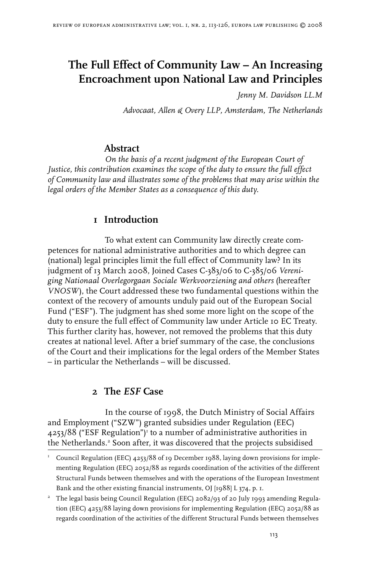# **The Full Effect of Community Law – An Increasing Encroachment upon National Law and Principles**

*Jenny M. Davidson LL.M*

*Advocaat, Allen & Overy LLP, Amsterdam, The Netherlands*

## **Abstract**

*On the basis of a recent judgment of the European Court of Justice, this contribution examines the scope of the duty to ensure the full effect of Community law and illustrates some of the problems that may arise within the legal orders of the Member States as a consequence of this duty.*

## *<u><b>I* Introduction</u>

To what extent can Community law directly create competences for national administrative authorities and to which degree can (national) legal principles limit the full effect of Community law? In its judgment of 13 March 2008, Joined Cases C-383/06 to C-385/06 *Vereniging Nationaal Overlegorgaan Sociale Werkvoorziening and others* (hereafter *VNOSW*), the Court addressed these two fundamental questions within the context of the recovery of amounts unduly paid out of the European Social Fund ("ESF"). The judgment has shed some more light on the scope of the duty to ensure the full effect of Community law under Article 10 EC Treaty. This further clarity has, however, not removed the problems that this duty creates at national level. After a brief summary of the case, the conclusions of the Court and their implications for the legal orders of the Member States – in particular the Netherlands – will be discussed.

# **2 The** *ESF* **Case**

In the course of 1998, the Dutch Ministry of Social Affairs and Employment ("SZW") granted subsidies under Regulation (EEC) 4253/88 ("ESF Regulation")<sup>1</sup> to a number of administrative authorities in the Netherlands.<sup>2</sup> Soon after, it was discovered that the projects subsidised

<sup>1</sup> Council Regulation (EEC) 4253/88 of 19 December 1988, laying down provisions for implementing Regulation (EEC) 2052/88 as regards coordination of the activities of the different Structural Funds between themselves and with the operations of the European Investment Bank and the other existing financial instruments, OJ [1988] L 374, p. 1.

<sup>2</sup> The legal basis being Council Regulation (EEC) 2082/93 of 20 July 1993 amending Regulation (EEC) 4253/88 laying down provisions for implementing Regulation (EEC) 2052/88 as regards coordination of the activities of the different Structural Funds between themselves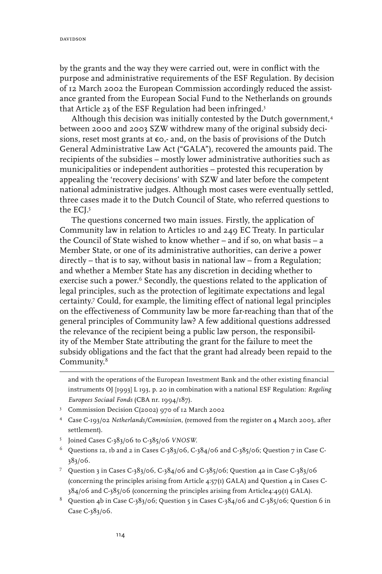by the grants and the way they were carried out, were in conflict with the purpose and administrative requirements of the ESF Regulation. By decision of 12 March 2002 the European Commission accordingly reduced the assistance granted from the European Social Fund to the Netherlands on grounds that Article 23 of the ESF Regulation had been infringed.3

Although this decision was initially contested by the Dutch government,<sup>4</sup> between 2000 and 2003 SZW withdrew many of the original subsidy decisions, reset most grants at  $\epsilon$ o,- and, on the basis of provisions of the Dutch General Administrative Law Act ("GALA"), recovered the amounts paid. The recipients of the subsidies – mostly lower administrative authorities such as municipalities or independent authorities – protested this recuperation by appealing the 'recovery decisions' with SZW and later before the competent national administrative judges. Although most cases were eventually settled, three cases made it to the Dutch Council of State, who referred questions to the ECI.<sup>5</sup>

The questions concerned two main issues. Firstly, the application of Community law in relation to Articles 10 and 249 EC Treaty. In particular the Council of State wished to know whether – and if so, on what basis – a Member State, or one of its administrative authorities, can derive a power directly – that is to say, without basis in national law – from a Regulation; and whether a Member State has any discretion in deciding whether to exercise such a power.<sup>6</sup> Secondly, the questions related to the application of legal principles, such as the protection of legitimate expectations and legal certainty.7 Could, for example, the limiting effect of national legal principles on the effectiveness of Community law be more far-reaching than that of the general principles of Community law? A few additional questions addressed the relevance of the recipient being a public law person, the responsibility of the Member State attributing the grant for the failure to meet the subsidy obligations and the fact that the grant had already been repaid to the Community.8

- 3 Commission Decision C(2002) 970 of 12 March 2002
- 4 Case C-193/02 *Netherlands/Commission,* (removed from the register on 4 March 2003, after settlement).
- 5 Joined Cases C-383/06 to C-385/06 *VNOSW*.
- $6$  Questions 1a, 1b and 2 in Cases C-383/06, C-384/06 and C-385/06; Question 7 in Case C-383/06.
- 7 Question 3 in Cases C-383/06, C-384/06 and C-385/06; Question 4a in Case C-383/06 (concerning the principles arising from Article 4:57(1) GALA) and Question 4 in Cases C-384/06 and C-385/06 (concerning the principles arising from Article4:49(1) GALA).
- $8$  Question 4b in Case C-383/06; Question 5 in Cases C-384/06 and C-385/06; Question 6 in Case C-383/06.

and with the operations of the European Investment Bank and the other existing financial instruments OJ [1993] L 193, p. 20 in combination with a national ESF Regulation: *Regeling Europees Sociaal Fonds* (CBA nr. 1994/187).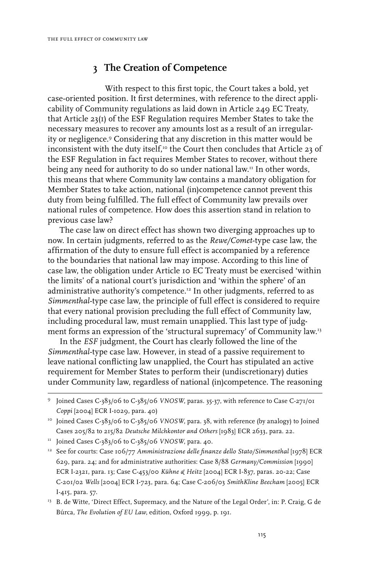#### **3 The Creation of Competence**

With respect to this first topic, the Court takes a bold, yet case-oriented position. It first determines, with reference to the direct applicability of Community regulations as laid down in Article 249 EC Treaty, that Article 23(1) of the ESF Regulation requires Member States to take the necessary measures to recover any amounts lost as a result of an irregularity or negligence.9 Considering that any discretion in this matter would be inconsistent with the duty itself,<sup>10</sup> the Court then concludes that Article 23 of the ESF Regulation in fact requires Member States to recover, without there being any need for authority to do so under national law.<sup>11</sup> In other words, this means that where Community law contains a mandatory obligation for Member States to take action, national (in)competence cannot prevent this duty from being fulfilled. The full effect of Community law prevails over national rules of competence. How does this assertion stand in relation to previous case law?

The case law on direct effect has shown two diverging approaches up to now. In certain judgments, referred to as the *Rewe/Comet*-type case law, the affirmation of the duty to ensure full effect is accompanied by a reference to the boundaries that national law may impose. According to this line of case law, the obligation under Article 10 EC Treaty must be exercised 'within the limits' of a national court's jurisdiction and 'within the sphere' of an administrative authority's competence.<sup>12</sup> In other judgments, referred to as *Simmenthal*-type case law, the principle of full effect is considered to require that every national provision precluding the full effect of Community law, including procedural law, must remain unapplied. This last type of judgment forms an expression of the 'structural supremacy' of Community law.13

In the *ESF* judgment, the Court has clearly followed the line of the *Simmenthal*-type case law. However, in stead of a passive requirement to leave national conflicting law unapplied, the Court has stipulated an active requirement for Member States to perform their (undiscretionary) duties under Community law, regardless of national (in)competence. The reasoning

<sup>9</sup> Joined Cases C-383/06 to C-385/06 *VNOSW*, paras. 35-37, with reference to Case C-271/01 *Coppi* [2004] ECR I-1029, para. 40)

<sup>&</sup>lt;sup>10</sup> Joined Cases C-383/06 to C-385/06 *VNOSW*, para. 38, with reference (by analogy) to Joined Cases 205/82 to 215/82 *Deutsche Milchkontor and Others* [1983] ECR 2633, para. 22.

<sup>&</sup>lt;sup>11</sup> Joined Cases C-383/06 to C-385/06 *VNOSW*, para. 40.

<sup>&</sup>lt;sup>12</sup> See for courts: Case 106/77 Amministrazione delle finanze dello Stato/Simmenthal [1978] ECR 629, para. 24; and for administrative authorities: Case 8/88 *Germany/Commission* [1990] ECR I-2321, para. 13; Case C-453/00 *Kühne & Heitz* [2004] ECR I-837, paras. 20-22; Case C-201/02 *Wells* [2004] ECR I-723, para. 64; Case C-206/03 *SmithKline Beecham* [2005] ECR I-415, para. 57.

<sup>&</sup>lt;sup>13</sup> B. de Witte, 'Direct Effect, Supremacy, and the Nature of the Legal Order', in: P. Craig, G de Búrca, *The Evolution of EU Law*, edition, Oxford 1999, p. 191.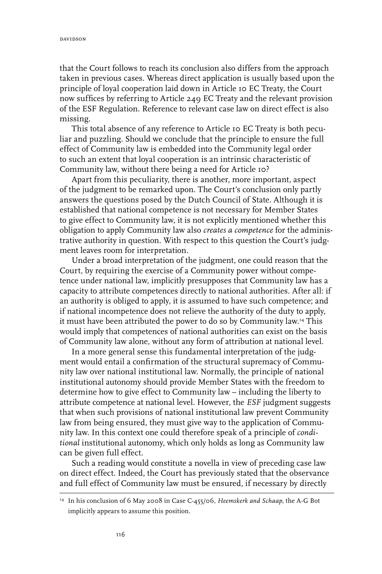that the Court follows to reach its conclusion also differs from the approach taken in previous cases. Whereas direct application is usually based upon the principle of loyal cooperation laid down in Article 10 EC Treaty, the Court now suffices by referring to Article 249 EC Treaty and the relevant provision of the ESF Regulation. Reference to relevant case law on direct effect is also missing.

This total absence of any reference to Article 10 EC Treaty is both peculiar and puzzling. Should we conclude that the principle to ensure the full effect of Community law is embedded into the Community legal order to such an extent that loyal cooperation is an intrinsic characteristic of Community law, without there being a need for Article 10?

Apart from this peculiarity, there is another, more important, aspect of the judgment to be remarked upon. The Court's conclusion only partly answers the questions posed by the Dutch Council of State. Although it is established that national competence is not necessary for Member States to give effect to Community law, it is not explicitly mentioned whether this obligation to apply Community law also *creates a competence* for the administrative authority in question. With respect to this question the Court's judgment leaves room for interpretation.

Under a broad interpretation of the judgment, one could reason that the Court, by requiring the exercise of a Community power without competence under national law, implicitly presupposes that Community law has a capacity to attribute competences directly to national authorities. After all: if an authority is obliged to apply, it is assumed to have such competence; and if national incompetence does not relieve the authority of the duty to apply, it must have been attributed the power to do so by Community law.14 This would imply that competences of national authorities can exist on the basis of Community law alone, without any form of attribution at national level.

In a more general sense this fundamental interpretation of the judgment would entail a confirmation of the structural supremacy of Community law over national institutional law. Normally, the principle of national institutional autonomy should provide Member States with the freedom to determine how to give effect to Community law – including the liberty to attribute competence at national level. However, the *ESF* judgment suggests that when such provisions of national institutional law prevent Community law from being ensured, they must give way to the application of Community law. In this context one could therefore speak of a principle of *conditional* institutional autonomy, which only holds as long as Community law can be given full effect.

Such a reading would constitute a novella in view of preceding case law on direct effect. Indeed, the Court has previously stated that the observance and full effect of Community law must be ensured, if necessary by directly

<sup>14</sup> In his conclusion of 6 May 2008 in Case C-455/06, *Heemskerk and Schaap*, the A-G Bot implicitly appears to assume this position.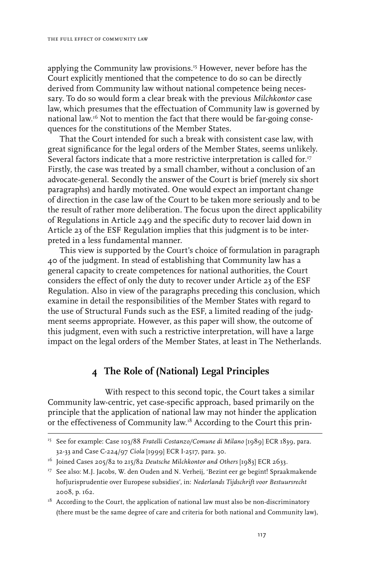applying the Community law provisions.<sup>15</sup> However, never before has the Court explicitly mentioned that the competence to do so can be directly derived from Community law without national competence being necessary. To do so would form a clear break with the previous *Milchkontor* case law, which presumes that the effectuation of Community law is governed by national law.16 Not to mention the fact that there would be far-going consequences for the constitutions of the Member States.

That the Court intended for such a break with consistent case law, with great significance for the legal orders of the Member States, seems unlikely. Several factors indicate that a more restrictive interpretation is called for.<sup>17</sup> Firstly, the case was treated by a small chamber, without a conclusion of an advocate-general. Secondly the answer of the Court is brief (merely six short paragraphs) and hardly motivated. One would expect an important change of direction in the case law of the Court to be taken more seriously and to be the result of rather more deliberation. The focus upon the direct applicability of Regulations in Article 249 and the specific duty to recover laid down in Article 23 of the ESF Regulation implies that this judgment is to be interpreted in a less fundamental manner.

This view is supported by the Court's choice of formulation in paragraph 40 of the judgment. In stead of establishing that Community law has a general capacity to create competences for national authorities, the Court considers the effect of only the duty to recover under Article 23 of the ESF Regulation. Also in view of the paragraphs preceding this conclusion, which examine in detail the responsibilities of the Member States with regard to the use of Structural Funds such as the ESF, a limited reading of the judgment seems appropriate. However, as this paper will show, the outcome of this judgment, even with such a restrictive interpretation, will have a large impact on the legal orders of the Member States, at least in The Netherlands.

#### **4 The Role of (National) Legal Principles**

With respect to this second topic, the Court takes a similar Community law-centric, yet case-specific approach, based primarily on the principle that the application of national law may not hinder the application or the effectiveness of Community law.18 According to the Court this prin-

<sup>&</sup>lt;sup>15</sup> See for example: Case 103/88 *Fratelli Costanzo/Comune di Milano* [1989] ECR 1839, para. 32-33 and Case C-224/97 *Ciola* [1999] ECR I-2517, para. 30.

<sup>16</sup> Joined Cases 205/82 to 215/82 *Deutsche Milchkontor and Others* [1983] ECR 2633.

<sup>&</sup>lt;sup>17</sup> See also: M.J. Jacobs, W. den Ouden and N. Verheij, 'Bezint eer ge begint! Spraakmakende hofjurisprudentie over Europese subsidies', in: *Nederlands Tijdschrift voor Bestuursrecht* 2008, p. 162.

 $18$  According to the Court, the application of national law must also be non-discriminatory (there must be the same degree of care and criteria for both national and Community law),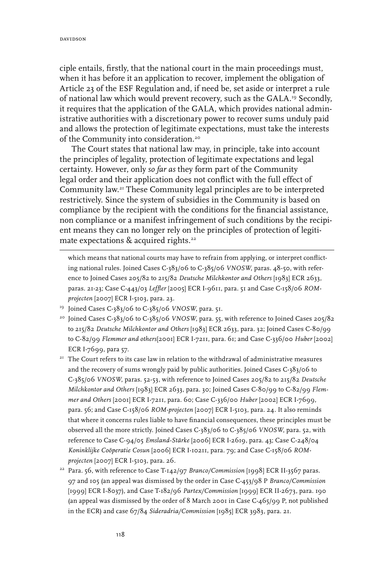ciple entails, firstly, that the national court in the main proceedings must, when it has before it an application to recover, implement the obligation of Article 23 of the ESF Regulation and, if need be, set aside or interpret a rule of national law which would prevent recovery, such as the GALA.19 Secondly, it requires that the application of the GALA, which provides national administrative authorities with a discretionary power to recover sums unduly paid and allows the protection of legitimate expectations, must take the interests of the Community into consideration.20

The Court states that national law may, in principle, take into account the principles of legality, protection of legitimate expectations and legal certainty. However, only *so far as* they form part of the Community legal order and their application does not conflict with the full effect of Community law.21 These Community legal principles are to be interpreted restrictively. Since the system of subsidies in the Community is based on compliance by the recipient with the conditions for the financial assistance, non compliance or a manifest infringement of such conditions by the recipient means they can no longer rely on the principles of protection of legitimate expectations & acquired rights.<sup>22</sup>

which means that national courts may have to refrain from applying, or interpret conflicting national rules. Joined Cases C-383/06 to C-385/06 *VNOSW*, paras. 48-50, with reference to Joined Cases 205/82 to 215/82 *Deutsche Milchkontor and Others* [1983] ECR 2633, paras. 21-23; Case C-443/03 *Leffler* [2005] ECR I-9611, para. 51 and Case C-158/06 *ROMprojecten* [2007] ECR I-5103, para. 23.

- <sup>20</sup> Joined Cases C-383/06 to C-385/06 *VNOSW*, para. 55, with reference to Joined Cases 205/82 to 215/82 *Deutsche Milchkontor and Others* [1983] ECR 2633, para. 32; Joined Cases C-80/99 to C-82/99 *Flemmer and others*[2001] ECR I-7211, para. 61; and Case C-336/00 *Huber* [2002] ECR I-7699, para 57.
- $^{\rm 21}$  The Court refers to its case law in relation to the withdrawal of administrative measures and the recovery of sums wrongly paid by public authorities. Joined Cases C-383/06 to C-385/06 *VNOSW*, paras. 52-53, with reference to Joined Cases 205/82 to 215/82 *Deutsche Milchkontor and Others* [1983] ECR 2633, para. 30; Joined Cases C-80/99 to C-82/99 *Flemmer and Others* [2001] ECR I-7211, para. 60; Case C-336/00 *Huber* [2002] ECR I-7699, para. 56; and Case C-158/06 *ROM-projecten* [2007] ECR I-5103, para. 24. It also reminds that where it concerns rules liable to have financial consequences, these principles must be observed all the more strictly. Joined Cases C-383/06 to C-385/06 *VNOSW*, para. 52, with reference to Case C-94/05 *Emsland-Stärke* [2006] ECR I-2619, para. 43; Case C-248/04 *Koninklijke Coöperatie Cosun* [2006] ECR I-10211, para. 79; and Case C-158/06 *ROMprojecten* [2007] ECR I-5103, para. 26.
- <sup>22</sup> Para. 56, with reference to Case T-142/97 *Branco/Commission* [1998] ECR II-3567 paras. 97 and 105 (an appeal was dismissed by the order in Case C-453/98 P *Branco/Commission* [1999] ECR I-8037), and Case T-182/96 *Partex/Commission* [1999] ECR II-2673, para. 190 (an appeal was dismissed by the order of 8 March 2001 in Case C-465/99 P, not published in the ECR) and case 67/84 *Sideradria/Commission* [1985] ECR 3983, para. 21.

<sup>19</sup> Joined Cases C-383/06 to C-385/06 *VNOSW*, para. 51.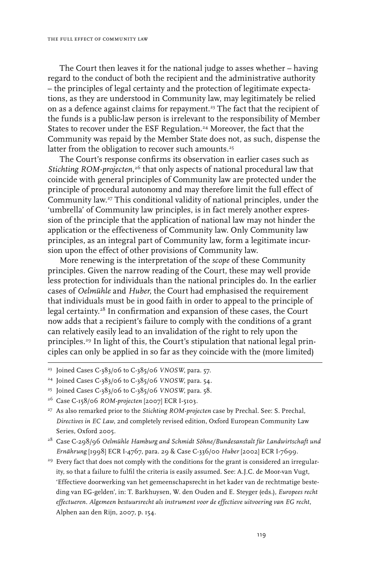The Court then leaves it for the national judge to asses whether – having regard to the conduct of both the recipient and the administrative authority – the principles of legal certainty and the protection of legitimate expectations, as they are understood in Community law, may legitimately be relied on as a defence against claims for repayment.<sup>23</sup> The fact that the recipient of the funds is a public-law person is irrelevant to the responsibility of Member States to recover under the ESF Regulation.<sup>24</sup> Moreover, the fact that the Community was repaid by the Member State does not, as such, dispense the latter from the obligation to recover such amounts.<sup>25</sup>

The Court's response confirms its observation in earlier cases such as *Stichting ROM-projecten*,<sup>26</sup> that only aspects of national procedural law that coincide with general principles of Community law are protected under the principle of procedural autonomy and may therefore limit the full effect of Community law.27 This conditional validity of national principles, under the 'umbrella' of Community law principles, is in fact merely another expression of the principle that the application of national law may not hinder the application or the effectiveness of Community law. Only Community law principles, as an integral part of Community law, form a legitimate incursion upon the effect of other provisions of Community law.

More renewing is the interpretation of the *scope* of these Community principles. Given the narrow reading of the Court, these may well provide less protection for individuals than the national principles do. In the earlier cases of *Oelmühle* and *Huber*, the Court had emphasised the requirement that individuals must be in good faith in order to appeal to the principle of legal certainty.28 In confirmation and expansion of these cases, the Court now adds that a recipient's failure to comply with the conditions of a grant can relatively easily lead to an invalidation of the right to rely upon the principles.29 In light of this, the Court's stipulation that national legal principles can only be applied in so far as they coincide with the (more limited)

- 28 Case C-298/96 *Oelmühle Hamburg and Schmidt Söhne/Bundesanstalt für Landwirtschaft und Ernährung* [1998] ECR I-4767, para. 29 & Case C-336/00 *Huber* [2002] ECR I-7699.
- <sup>29</sup> Every fact that does not comply with the conditions for the grant is considered an irregularity, so that a failure to fulfil the criteria is easily assumed. See: A.J.C. de Moor-van Vugt, 'Effectieve doorwerking van het gemeenschapsrecht in het kader van de rechtmatige besteding van EG-gelden', in: T. Barkhuysen, W. den Ouden and E. Steyger (eds.), *Europees recht effectueren. Algemeen bestuursrecht als instrument voor de effectieve uitvoering van EG recht*, Alphen aan den Rijn, 2007, p. 154.

<sup>23</sup> Joined Cases C-383/06 to C-385/06 *VNOSW*, para. 57.

<sup>24</sup> Joined Cases C-383/06 to C-385/06 *VNOSW*, para. 54.

<sup>25</sup> Joined Cases C-383/06 to C-385/06 *VNOSW*, para. 58.

<sup>26</sup> Case C-158/06 *ROM-projecten* [2007] ECR I-5103.

<sup>27</sup> As also remarked prior to the *Stichting ROM-projecten* case by Prechal. See: S. Prechal, *Directives in EC Law*, 2nd completely revised edition, Oxford European Community Law Series, Oxford 2005.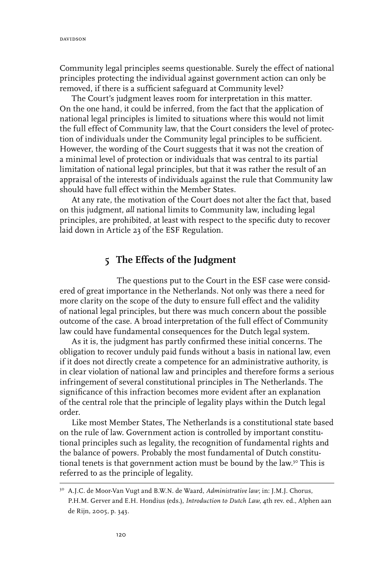Community legal principles seems questionable. Surely the effect of national principles protecting the individual against government action can only be removed, if there is a sufficient safeguard at Community level?

The Court's judgment leaves room for interpretation in this matter. On the one hand, it could be inferred, from the fact that the application of national legal principles is limited to situations where this would not limit the full effect of Community law, that the Court considers the level of protection of individuals under the Community legal principles to be sufficient. However, the wording of the Court suggests that it was not the creation of a minimal level of protection or individuals that was central to its partial limitation of national legal principles, but that it was rather the result of an appraisal of the interests of individuals against the rule that Community law should have full effect within the Member States.

At any rate, the motivation of the Court does not alter the fact that, based on this judgment, *all* national limits to Community law, including legal principles, are prohibited, at least with respect to the specific duty to recover laid down in Article 23 of the ESF Regulation.

#### **5 The Effects of the Judgment**

The questions put to the Court in the ESF case were considered of great importance in the Netherlands. Not only was there a need for more clarity on the scope of the duty to ensure full effect and the validity of national legal principles, but there was much concern about the possible outcome of the case. A broad interpretation of the full effect of Community law could have fundamental consequences for the Dutch legal system.

As it is, the judgment has partly confirmed these initial concerns. The obligation to recover unduly paid funds without a basis in national law, even if it does not directly create a competence for an administrative authority, is in clear violation of national law and principles and therefore forms a serious infringement of several constitutional principles in The Netherlands. The significance of this infraction becomes more evident after an explanation of the central role that the principle of legality plays within the Dutch legal order.

Like most Member States, The Netherlands is a constitutional state based on the rule of law. Government action is controlled by important constitutional principles such as legality, the recognition of fundamental rights and the balance of powers. Probably the most fundamental of Dutch constitutional tenets is that government action must be bound by the law.<sup>30</sup> This is referred to as the principle of legality.

<sup>30</sup> A.J.C. de Moor-Van Vugt and B.W.N. de Waard, *Administrative law*; in: J.M.J. Chorus, P.H.M. Gerver and E.H. Hondius (eds.), *Introduction to Dutch Law*, 4th rev. ed., Alphen aan de Rijn, 2005, p. 343.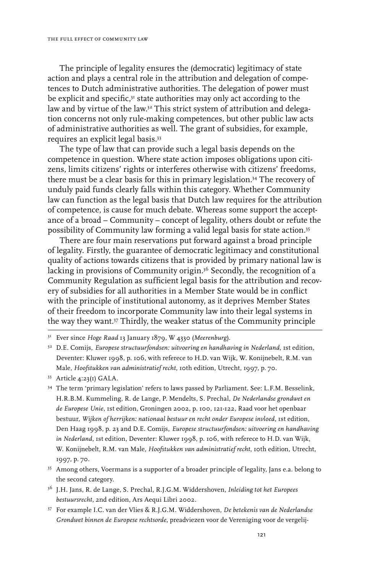The principle of legality ensures the (democratic) legitimacy of state action and plays a central role in the attribution and delegation of competences to Dutch administrative authorities. The delegation of power must be explicit and specific, $3<sup>T</sup>$  state authorities may only act according to the law and by virtue of the law.<sup>32</sup> This strict system of attribution and delegation concerns not only rule-making competences, but other public law acts of administrative authorities as well. The grant of subsidies, for example, requires an explicit legal basis.33

The type of law that can provide such a legal basis depends on the competence in question. Where state action imposes obligations upon citizens, limits citizens' rights or interferes otherwise with citizens' freedoms, there must be a clear basis for this in primary legislation.34 The recovery of unduly paid funds clearly falls within this category. Whether Community law can function as the legal basis that Dutch law requires for the attribution of competence, is cause for much debate. Whereas some support the acceptance of a broad – Community – concept of legality, others doubt or refute the possibility of Community law forming a valid legal basis for state action.35

There are four main reservations put forward against a broad principle of legality. Firstly, the guarantee of democratic legitimacy and constitutional quality of actions towards citizens that is provided by primary national law is lacking in provisions of Community origin.<sup>36</sup> Secondly, the recognition of a Community Regulation as sufficient legal basis for the attribution and recovery of subsidies for all authorities in a Member State would be in conflict with the principle of institutional autonomy, as it deprives Member States of their freedom to incorporate Community law into their legal systems in the way they want.37 Thirdly, the weaker status of the Community principle

- <sup>35</sup> Among others, Voermans is a supporter of a broader principle of legality, Jans e.a. belong to the second category.
- 36 J.H. Jans, R. de Lange, S. Prechal, R.J.G.M. Widdershoven, *Inleiding tot het Europees bestuursrecht*, 2nd edition, Ars Aequi Libri 2002.
- 37 For example I.C. van der Vlies & R.J.G.M. Widdershoven, *De betekenis van de Nederlandse Grondwet binnen de Europese rechtsorde*, preadviezen voor de Vereniging voor de vergelij-

<sup>31</sup> Ever since *Hoge Raad* 13 January 1879, W 4330 (*Meerenburg*).

<sup>&</sup>lt;sup>32</sup> D.E. Comijs, *Europese structuurfondsen: uitvoering en handhaving in Nederland*, 1st edition, Deventer: Kluwer 1998, p. 106, with referece to H.D. van Wijk, W. Konijnebelt, R.M. van Male, *Hoofstukken van administratief recht*, 10th edition, Utrecht, 1997, p. 70.

<sup>33</sup> Article 4:23(1) GALA.

<sup>34</sup> The term 'primary legislation' refers to laws passed by Parliament. See: L.F.M. Besselink, H.R.B.M. Kummeling, R. de Lange, P. Mendelts, S. Prechal, *De Nederlandse grondwet en de Europese Unie*, 1st edition, Groningen 2002, p. 100, 121-122, Raad voor het openbaar bestuur, *Wijken of herrijken: nationaal bestuur en recht onder Europese invloed*, 1st edition, Den Haag 1998, p. 23 and D.E. Comijs, *Europese structuurfondsen: uitvoering en handhaving in Nederland*, 1st edition, Deventer: Kluwer 1998, p. 106, with referece to H.D. van Wijk, W. Konijnebelt, R.M. van Male, *Hoofstukken van administratief recht*, 10th edition, Utrecht, 1997, p. 70.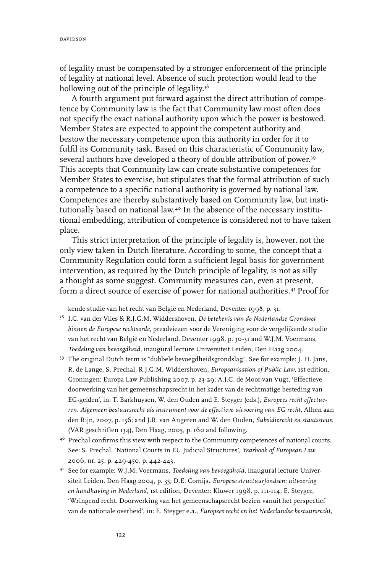of legality must be compensated by a stronger enforcement of the principle of legality at national level. Absence of such protection would lead to the hollowing out of the principle of legality.<sup>38</sup>

A fourth argument put forward against the direct attribution of competence by Community law is the fact that Community law most often does not specify the exact national authority upon which the power is bestowed. Member States are expected to appoint the competent authority and bestow the necessary competence upon this authority in order for it to fulfil its Community task. Based on this characteristic of Community law, several authors have developed a theory of double attribution of power.<sup>39</sup> This accepts that Community law can create substantive competences for Member States to exercise, but stipulates that the formal attribution of such a competence to a specific national authority is governed by national law. Competences are thereby substantively based on Community law, but institutionally based on national law.40 In the absence of the necessary institutional embedding, attribution of competence is considered not to have taken place.

This strict interpretation of the principle of legality is, however, not the only view taken in Dutch literature. According to some, the concept that a Community Regulation could form a sufficient legal basis for government intervention, as required by the Dutch principle of legality, is not as silly a thought as some suggest. Community measures can, even at present, form a direct source of exercise of power for national authorities.41 Proof for

kende studie van het recht van België en Nederland, Deventer 1998, p. 31.

38 I.C. van der Vlies & R.J.G.M. Widdershoven, *De betekenis van de Nederlandse Grondwet binnen de Europese rechtsorde*, preadviezen voor de Vereniging voor de vergelijkende studie van het recht van België en Nederland, Deventer 1998, p. 30-31 and W.J.M. Voermans, *Toedeling van bevoegdheid*, inaugural lecture Universiteit Leiden, Den Haag 2004.

39 The original Dutch term is "dubbele bevoegdheidsgrondslag". See for example: J. H. Jans, R. de Lange, S. Prechal, R.J.G.M. Widdershoven, *Europeanisation of Public Law*, 1st edition, Groningen: Europa Law Publishing 2007, p. 23-29; A.J.C. de Moor-van Vugt, 'Effectieve doorwerking van het gemeenschapsrecht in het kader van de rechtmatige besteding van EG-gelden', in: T. Barkhuysen, W. den Ouden and E. Steyger (eds.), *Europees recht effectueren. Algemeen bestuursrecht als instrument voor de effectieve uitvoering van EG recht*, Alhen aan den Rijn, 2007, p. 156; and J.R. van Angeren and W. den Ouden, *Subsidierecht en staatssteun* (VAR geschriften 134), Den Haag, 2005, p. 160 and following.

<sup>40</sup> Prechal confirms this view with respect to the Community competences of national courts. See: S. Prechal, 'National Courts in EU Judicial Structures', *Yearbook of European Law* 2006, nr. 25, p. 429-450, p. 442-443.

<sup>41</sup> See for example: W.J.M. Voermans, *Toedeling van bevoegdheid*, inaugural lecture Universiteit Leiden, Den Haag 2004, p. 33; D.E. Comijs, *Europese structuurfondsen: uitvoering en handhaving in Nederland*, 1st edition, Deventer: Kluwer 1998, p. 111-114; E. Steyger, 'Wringend recht. Doorwerking van het gemeenschapsrecht bezien vanuit het perspectief van de nationale overheid', in: E. Steyger e.a., *Europees recht en het Nederlandse bestuursrecht*,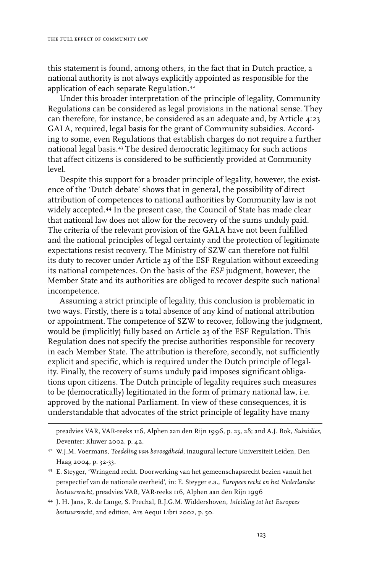this statement is found, among others, in the fact that in Dutch practice, a national authority is not always explicitly appointed as responsible for the application of each separate Regulation.42

Under this broader interpretation of the principle of legality, Community Regulations can be considered as legal provisions in the national sense. They can therefore, for instance, be considered as an adequate and, by Article 4:23 GALA, required, legal basis for the grant of Community subsidies. According to some, even Regulations that establish charges do not require a further national legal basis.43 The desired democratic legitimacy for such actions that affect citizens is considered to be sufficiently provided at Community level.

Despite this support for a broader principle of legality, however, the existence of the 'Dutch debate' shows that in general, the possibility of direct attribution of competences to national authorities by Community law is not widely accepted.44 In the present case, the Council of State has made clear that national law does not allow for the recovery of the sums unduly paid. The criteria of the relevant provision of the GALA have not been fulfilled and the national principles of legal certainty and the protection of legitimate expectations resist recovery. The Ministry of SZW can therefore not fulfil its duty to recover under Article 23 of the ESF Regulation without exceeding its national competences. On the basis of the *ESF* judgment, however, the Member State and its authorities are obliged to recover despite such national incompetence.

Assuming a strict principle of legality, this conclusion is problematic in two ways. Firstly, there is a total absence of any kind of national attribution or appointment. The competence of SZW to recover, following the judgment, would be (implicitly) fully based on Article 23 of the ESF Regulation. This Regulation does not specify the precise authorities responsible for recovery in each Member State. The attribution is therefore, secondly, not sufficiently explicit and specific, which is required under the Dutch principle of legality. Finally, the recovery of sums unduly paid imposes significant obligations upon citizens. The Dutch principle of legality requires such measures to be (democratically) legitimated in the form of primary national law, i.e. approved by the national Parliament. In view of these consequences, it is understandable that advocates of the strict principle of legality have many

preadvies VAR, VAR-reeks 116, Alphen aan den Rijn 1996, p. 23, 28; and A.J. Bok, *Subsidies*, Deventer: Kluwer 2002, p. 42.

44 J. H. Jans, R. de Lange, S. Prechal, R.J.G.M. Widdershoven, *Inleiding tot het Europees bestuursrecht*, 2nd edition, Ars Aequi Libri 2002, p. 50.

<sup>42</sup> W.J.M. Voermans, *Toedeling van bevoegdheid*, inaugural lecture Universiteit Leiden, Den Haag 2004, p. 32-33.

<sup>43</sup> E. Steyger, 'Wringend recht. Doorwerking van het gemeenschapsrecht bezien vanuit het perspectief van de nationale overheid', in: E. Steyger e.a., *Europees recht en het Nederlandse bestuursrecht*, preadvies VAR, VAR-reeks 116, Alphen aan den Rijn 1996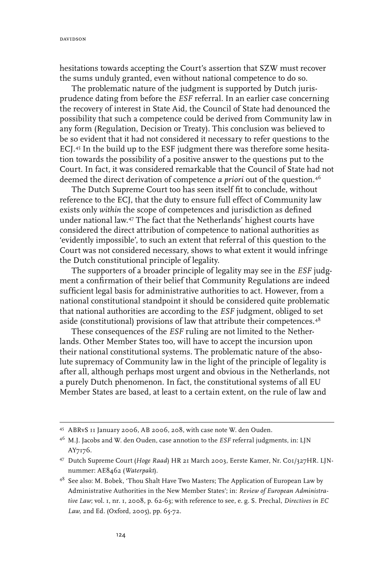hesitations towards accepting the Court's assertion that SZW must recover the sums unduly granted, even without national competence to do so.

The problematic nature of the judgment is supported by Dutch jurisprudence dating from before the *ESF* referral. In an earlier case concerning the recovery of interest in State Aid, the Council of State had denounced the possibility that such a competence could be derived from Community law in any form (Regulation, Decision or Treaty). This conclusion was believed to be so evident that it had not considered it necessary to refer questions to the ECJ.45 In the build up to the ESF judgment there was therefore some hesitation towards the possibility of a positive answer to the questions put to the Court. In fact, it was considered remarkable that the Council of State had not deemed the direct derivation of competence *a priori* out of the question.46

The Dutch Supreme Court too has seen itself fit to conclude, without reference to the ECJ, that the duty to ensure full effect of Community law exists only *within* the scope of competences and jurisdiction as defined under national law.47 The fact that the Netherlands' highest courts have considered the direct attribution of competence to national authorities as 'evidently impossible', to such an extent that referral of this question to the Court was not considered necessary, shows to what extent it would infringe the Dutch constitutional principle of legality.

The supporters of a broader principle of legality may see in the *ESF* judgment a confirmation of their belief that Community Regulations are indeed sufficient legal basis for administrative authorities to act. However, from a national constitutional standpoint it should be considered quite problematic that national authorities are according to the *ESF* judgment, obliged to set aside (constitutional) provisions of law that attribute their competences.48

These consequences of the *ESF* ruling are not limited to the Netherlands. Other Member States too, will have to accept the incursion upon their national constitutional systems. The problematic nature of the absolute supremacy of Community law in the light of the principle of legality is after all, although perhaps most urgent and obvious in the Netherlands, not a purely Dutch phenomenon. In fact, the constitutional systems of all EU Member States are based, at least to a certain extent, on the rule of law and

<sup>45</sup> ABRvS 11 January 2006, AB 2006, 208, with case note W. den Ouden.

<sup>46</sup> M.J. Jacobs and W. den Ouden, case annotion to the *ESF* referral judgments, in: LJN AY7176.

<sup>47</sup> Dutch Supreme Court (*Hoge Raad*) HR 21 March 2003, Eerste Kamer, Nr. C01/327HR. LJNnummer: AE8462 (*Waterpakt*).

<sup>&</sup>lt;sup>48</sup> See also: M. Bobek, 'Thou Shalt Have Two Masters; The Application of European Law by Administrative Authorities in the New Member States'; in: *Review of European Administrative Law*; vol. 1, nr. 1, 2008, p. 62-63; with reference to see, e. g. S. Prechal, *Directives in EC Law,* 2nd Ed. (Oxford, 2005), pp. 65-72.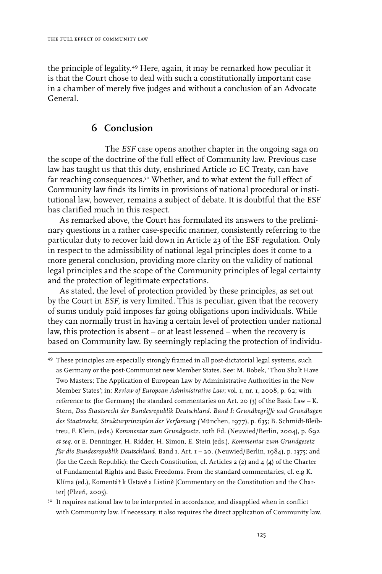the principle of legality.49 Here, again, it may be remarked how peculiar it is that the Court chose to deal with such a constitutionally important case in a chamber of merely five judges and without a conclusion of an Advocate General.

#### **6** Conclusion

The *ESF* case opens another chapter in the ongoing saga on the scope of the doctrine of the full effect of Community law. Previous case law has taught us that this duty, enshrined Article 10 EC Treaty, can have far reaching consequences.<sup>50</sup> Whether, and to what extent the full effect of Community law finds its limits in provisions of national procedural or institutional law, however, remains a subject of debate. It is doubtful that the ESF has clarified much in this respect.

As remarked above, the Court has formulated its answers to the preliminary questions in a rather case-specific manner, consistently referring to the particular duty to recover laid down in Article 23 of the ESF regulation. Only in respect to the admissibility of national legal principles does it come to a more general conclusion, providing more clarity on the validity of national legal principles and the scope of the Community principles of legal certainty and the protection of legitimate expectations.

As stated, the level of protection provided by these principles, as set out by the Court in *ESF*, is very limited. This is peculiar, given that the recovery of sums unduly paid imposes far going obligations upon individuals. While they can normally trust in having a certain level of protection under national law, this protection is absent – or at least lessened – when the recovery is based on Community law. By seemingly replacing the protection of individu-

49 These principles are especially strongly framed in all post-dictatorial legal systems, such as Germany or the post-Communist new Member States. See: M. Bobek, 'Thou Shalt Have Two Masters; The Application of European Law by Administrative Authorities in the New Member States'; in: *Review of European Administrative Law*; vol. 1, nr. 1, 2008, p. 62; with reference to: (for Germany) the standard commentaries on Art. 20 (3) of the Basic Law – K. Stern, *Das Staatsrecht der Bundesrepublik Deutschland. Band I: Grundbegriffe und Grundlagen des Staatsrecht, Strukturprinzipien der Verfassung (*München, 1977), p. 635; B. Schmidt-Bleibtreu, F. Klein, (eds.) *Kommentar zum Grundgesetz.* 10th Ed. (Neuwied/Berlin, 2004), p. 692 *et seq.* or E. Denninger, H. Ridder, H. Simon, E. Stein (eds.), *Kommentar zum Grundgesetz für die Bundesrepublik Deutschland.* Band 1. Art. 1 – 20. (Neuwied/Berlin, 1984), p. 1375; and (for the Czech Republic): the Czech Constitution, cf. Articles 2 (2) and 4 (4) of the Charter of Fundamental Rights and Basic Freedoms. From the standard commentaries, cf. e.g K. Klíma (ed.), Komentář k Ústavě a Listině [Commentary on the Constitution and the Charter] (Plzeň, 2005).

<sup>50</sup> It requires national law to be interpreted in accordance, and disapplied when in conflict with Community law. If necessary, it also requires the direct application of Community law.